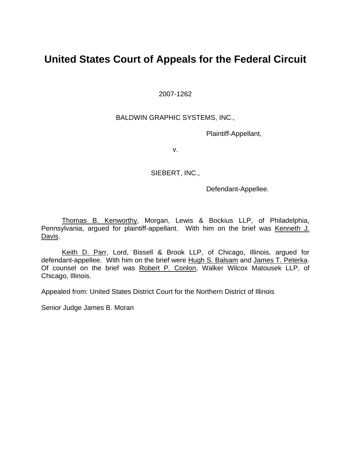## **United States Court of Appeals for the Federal Circuit**

2007-1262

### BALDWIN GRAPHIC SYSTEMS, INC.,

Plaintiff-Appellant,

v.

#### SIEBERT, INC.,

Defendant-Appellee.

Thomas B. Kenworthy, Morgan, Lewis & Bockius LLP, of Philadelphia, Pennsylvania, argued for plaintiff-appellant. With him on the brief was Kenneth J. Davis.

Keith D. Parr, Lord, Bissell & Brook LLP, of Chicago, Illinois, argued for defendant-appellee. With him on the brief were Hugh S. Balsam and James T. Peterka. Of counsel on the brief was Robert P. Conlon, Walker Wilcox Matousek LLP, of Chicago, Illinois.

Appealed from: United States District Court for the Northern District of Illinois

Senior Judge James B. Moran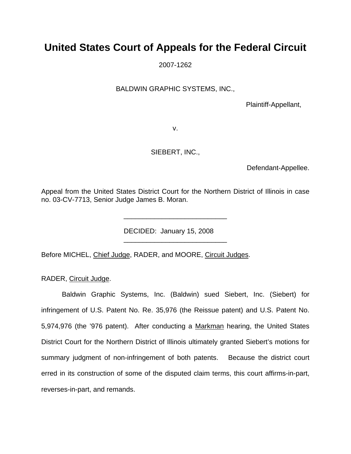# **United States Court of Appeals for the Federal Circuit**

2007-1262

BALDWIN GRAPHIC SYSTEMS, INC.,

Plaintiff-Appellant,

v.

SIEBERT, INC.,

Defendant-Appellee.

Appeal from the United States District Court for the Northern District of Illinois in case no. 03-CV-7713, Senior Judge James B. Moran.

\_\_\_\_\_\_\_\_\_\_\_\_\_\_\_\_\_\_\_\_\_\_\_\_\_\_\_

\_\_\_\_\_\_\_\_\_\_\_\_\_\_\_\_\_\_\_\_\_\_\_\_\_\_\_

DECIDED: January 15, 2008

Before MICHEL, Chief Judge, RADER, and MOORE, Circuit Judges.

RADER, Circuit Judge.

Baldwin Graphic Systems, Inc. (Baldwin) sued Siebert, Inc. (Siebert) for infringement of U.S. Patent No. Re. 35,976 (the Reissue patent) and U.S. Patent No. 5,974,976 (the '976 patent). After conducting a Markman hearing, the United States District Court for the Northern District of Illinois ultimately granted Siebert's motions for summary judgment of non-infringement of both patents. Because the district court erred in its construction of some of the disputed claim terms, this court affirms-in-part, reverses-in-part, and remands.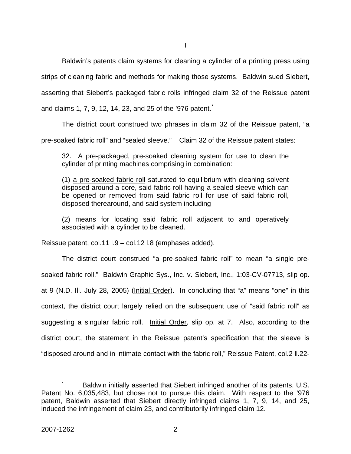I

Baldwin's patents claim systems for cleaning a cylinder of a printing press using

strips of cleaning fabric and methods for making those systems. Baldwin sued Siebert,

asserting that Siebert's packaged fabric rolls infringed claim 32 of the Reissue patent

and claims 1, 7, 9, 12, 14, 23, and 25 of the '976 patent.<sup>[\\*](#page-2-0)</sup>

The district court construed two phrases in claim 32 of the Reissue patent, "a

pre-soaked fabric roll" and "sealed sleeve." Claim 32 of the Reissue patent states:

32. A pre-packaged, pre-soaked cleaning system for use to clean the cylinder of printing machines comprising in combination:

(1) a pre-soaked fabric roll saturated to equilibrium with cleaning solvent disposed around a core, said fabric roll having a sealed sleeve which can be opened or removed from said fabric roll for use of said fabric roll, disposed therearound, and said system including

(2) means for locating said fabric roll adjacent to and operatively associated with a cylinder to be cleaned.

Reissue patent, col.11 l.9 – col.12 l.8 (emphases added).

The district court construed "a pre-soaked fabric roll" to mean "a single presoaked fabric roll." Baldwin Graphic Sys., Inc. v. Siebert, Inc., 1:03-CV-07713, slip op. at 9 (N.D. Ill. July 28, 2005) (Initial Order). In concluding that "a" means "one" in this context, the district court largely relied on the subsequent use of "said fabric roll" as suggesting a singular fabric roll. Initial Order, slip op. at 7. Also, according to the district court, the statement in the Reissue patent's specification that the sleeve is "disposed around and in intimate contact with the fabric roll," Reissue Patent, col.2 ll.22-

<span id="page-2-0"></span> <sup>\*</sup> Baldwin initially asserted that Siebert infringed another of its patents, U.S. Patent No. 6,035,483, but chose not to pursue this claim. With respect to the '976 patent, Baldwin asserted that Siebert directly infringed claims 1, 7, 9, 14, and 25, induced the infringement of claim 23, and contributorily infringed claim 12.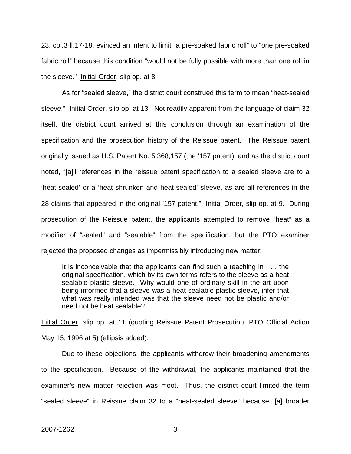23, col.3 ll.17-18, evinced an intent to limit "a pre-soaked fabric roll" to "one pre-soaked fabric roll" because this condition "would not be fully possible with more than one roll in the sleeve." Initial Order, slip op. at 8.

As for "sealed sleeve," the district court construed this term to mean "heat-sealed sleeve." Initial Order, slip op. at 13. Not readily apparent from the language of claim 32 itself, the district court arrived at this conclusion through an examination of the specification and the prosecution history of the Reissue patent. The Reissue patent originally issued as U.S. Patent No. 5,368,157 (the '157 patent), and as the district court noted, "[a]ll references in the reissue patent specification to a sealed sleeve are to a 'heat-sealed' or a 'heat shrunken and heat-sealed' sleeve, as are all references in the 28 claims that appeared in the original '157 patent." Initial Order, slip op. at 9. During prosecution of the Reissue patent, the applicants attempted to remove "heat" as a modifier of "sealed" and "sealable" from the specification, but the PTO examiner rejected the proposed changes as impermissibly introducing new matter:

It is inconceivable that the applicants can find such a teaching in . . . the original specification, which by its own terms refers to the sleeve as a heat sealable plastic sleeve. Why would one of ordinary skill in the art upon being informed that a sleeve was a heat sealable plastic sleeve, infer that what was really intended was that the sleeve need not be plastic and/or need not be heat sealable?

Initial Order, slip op. at 11 (quoting Reissue Patent Prosecution, PTO Official Action May 15, 1996 at 5) (ellipsis added).

Due to these objections, the applicants withdrew their broadening amendments to the specification. Because of the withdrawal, the applicants maintained that the examiner's new matter rejection was moot. Thus, the district court limited the term "sealed sleeve" in Reissue claim 32 to a "heat-sealed sleeve" because "[a] broader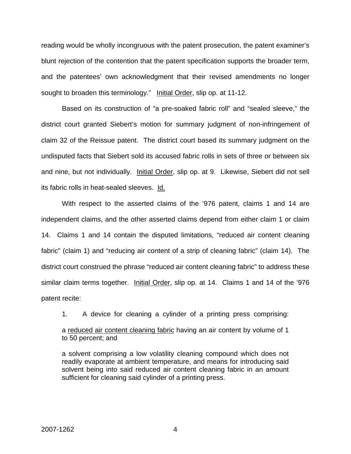reading would be wholly incongruous with the patent prosecution, the patent examiner's blunt rejection of the contention that the patent specification supports the broader term, and the patentees' own acknowledgment that their revised amendments no longer sought to broaden this terminology." Initial Order, slip op. at 11-12.

 Based on its construction of "a pre-soaked fabric roll" and "sealed sleeve," the district court granted Siebert's motion for summary judgment of non-infringement of claim 32 of the Reissue patent. The district court based its summary judgment on the undisputed facts that Siebert sold its accused fabric rolls in sets of three or between six and nine, but not individually. Initial Order, slip op. at 9. Likewise, Siebert did not sell its fabric rolls in heat-sealed sleeves. Id.

 With respect to the asserted claims of the '976 patent, claims 1 and 14 are independent claims, and the other asserted claims depend from either claim 1 or claim 14. Claims 1 and 14 contain the disputed limitations, "reduced air content cleaning fabric" (claim 1) and "reducing air content of a strip of cleaning fabric" (claim 14). The district court construed the phrase "reduced air content cleaning fabric" to address these similar claim terms together. Initial Order, slip op. at 14. Claims 1 and 14 of the '976 patent recite:

1. A device for cleaning a cylinder of a printing press comprising:

a reduced air content cleaning fabric having an air content by volume of 1 to 50 percent; and

a solvent comprising a low volatility cleaning compound which does not readily evaporate at ambient temperature, and means for introducing said solvent being into said reduced air content cleaning fabric in an amount sufficient for cleaning said cylinder of a printing press.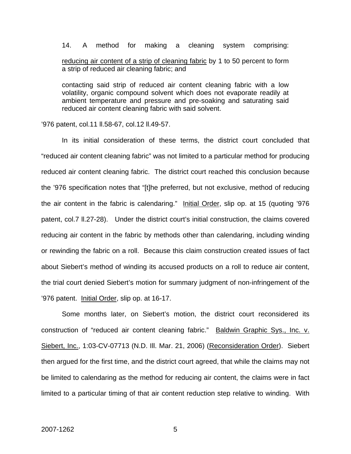14. A method for making a cleaning system comprising: reducing air content of a strip of cleaning fabric by 1 to 50 percent to form a strip of reduced air cleaning fabric; and

contacting said strip of reduced air content cleaning fabric with a low volatility, organic compound solvent which does not evaporate readily at ambient temperature and pressure and pre-soaking and saturating said reduced air content cleaning fabric with said solvent.

'976 patent, col.11 ll.58-67, col.12 ll.49-57.

In its initial consideration of these terms, the district court concluded that "reduced air content cleaning fabric" was not limited to a particular method for producing reduced air content cleaning fabric. The district court reached this conclusion because the '976 specification notes that "[t]he preferred, but not exclusive, method of reducing the air content in the fabric is calendaring." Initial Order, slip op. at 15 (quoting '976 patent, col.7 ll.27-28). Under the district court's initial construction, the claims covered reducing air content in the fabric by methods other than calendaring, including winding or rewinding the fabric on a roll. Because this claim construction created issues of fact about Siebert's method of winding its accused products on a roll to reduce air content, the trial court denied Siebert's motion for summary judgment of non-infringement of the '976 patent. Initial Order, slip op. at 16-17.

Some months later, on Siebert's motion, the district court reconsidered its construction of "reduced air content cleaning fabric." Baldwin Graphic Sys., Inc. v. Siebert, Inc., 1:03-CV-07713 (N.D. Ill. Mar. 21, 2006) (Reconsideration Order). Siebert then argued for the first time, and the district court agreed, that while the claims may not be limited to calendaring as the method for reducing air content, the claims were in fact limited to a particular timing of that air content reduction step relative to winding. With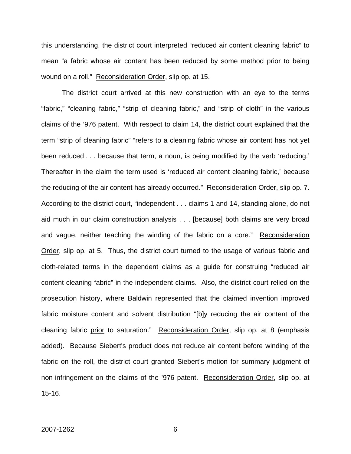this understanding, the district court interpreted "reduced air content cleaning fabric" to mean "a fabric whose air content has been reduced by some method prior to being wound on a roll." Reconsideration Order, slip op. at 15.

The district court arrived at this new construction with an eye to the terms "fabric," "cleaning fabric," "strip of cleaning fabric," and "strip of cloth" in the various claims of the '976 patent. With respect to claim 14, the district court explained that the term "strip of cleaning fabric" "refers to a cleaning fabric whose air content has not yet been reduced . . . because that term, a noun, is being modified by the verb 'reducing.' Thereafter in the claim the term used is 'reduced air content cleaning fabric,' because the reducing of the air content has already occurred." Reconsideration Order, slip op. 7. According to the district court, "independent . . . claims 1 and 14, standing alone, do not aid much in our claim construction analysis . . . [because] both claims are very broad and vague, neither teaching the winding of the fabric on a core." Reconsideration Order, slip op. at 5. Thus, the district court turned to the usage of various fabric and cloth-related terms in the dependent claims as a guide for construing "reduced air content cleaning fabric" in the independent claims. Also, the district court relied on the prosecution history, where Baldwin represented that the claimed invention improved fabric moisture content and solvent distribution "[b]y reducing the air content of the cleaning fabric prior to saturation." Reconsideration Order, slip op. at 8 (emphasis added). Because Siebert's product does not reduce air content before winding of the fabric on the roll, the district court granted Siebert's motion for summary judgment of non-infringement on the claims of the '976 patent. Reconsideration Order, slip op. at 15-16.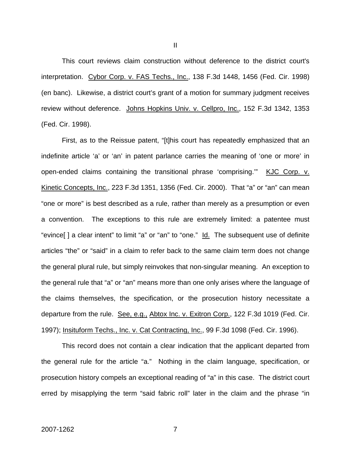This court reviews claim construction without deference to the district court's interpretation. Cybor Corp. v. FAS Techs., Inc., 138 F.3d 1448, 1456 (Fed. Cir. 1998) (en banc). Likewise, a district court's grant of a motion for summary judgment receives review without deference. Johns Hopkins Univ. v. Cellpro, Inc., 152 F.3d 1342, 1353 (Fed. Cir. 1998).

 First, as to the Reissue patent, "[t]his court has repeatedly emphasized that an indefinite article 'a' or 'an' in patent parlance carries the meaning of 'one or more' in open-ended claims containing the transitional phrase 'comprising." KJC Corp. v. Kinetic Concepts, Inc., 223 F.3d 1351, 1356 (Fed. Cir. 2000). That "a" or "an" can mean "one or more" is best described as a rule, rather than merely as a presumption or even a convention. The exceptions to this rule are extremely limited: a patentee must "evince[ ] a clear intent" to limit "a" or "an" to "one." Id. The subsequent use of definite articles "the" or "said" in a claim to refer back to the same claim term does not change the general plural rule, but simply reinvokes that non-singular meaning. An exception to the general rule that "a" or "an" means more than one only arises where the language of the claims themselves, the specification, or the prosecution history necessitate a departure from the rule. See, e.g., Abtox Inc. v. Exitron Corp., 122 F.3d 1019 (Fed. Cir. 1997); Insituform Techs., Inc. v. Cat Contracting, Inc., 99 F.3d 1098 (Fed. Cir. 1996).

 This record does not contain a clear indication that the applicant departed from the general rule for the article "a." Nothing in the claim language, specification, or prosecution history compels an exceptional reading of "a" in this case. The district court erred by misapplying the term "said fabric roll" later in the claim and the phrase "in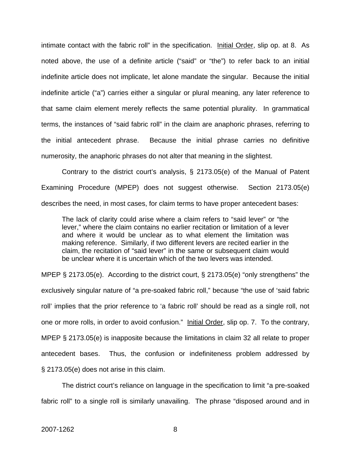intimate contact with the fabric roll" in the specification. Initial Order, slip op. at 8. As noted above, the use of a definite article ("said" or "the") to refer back to an initial indefinite article does not implicate, let alone mandate the singular. Because the initial indefinite article ("a") carries either a singular or plural meaning, any later reference to that same claim element merely reflects the same potential plurality. In grammatical terms, the instances of "said fabric roll" in the claim are anaphoric phrases, referring to the initial antecedent phrase. Because the initial phrase carries no definitive numerosity, the anaphoric phrases do not alter that meaning in the slightest.

Contrary to the district court's analysis, § 2173.05(e) of the Manual of Patent Examining Procedure (MPEP) does not suggest otherwise. Section 2173.05(e) describes the need, in most cases, for claim terms to have proper antecedent bases:

The lack of clarity could arise where a claim refers to "said lever" or "the lever," where the claim contains no earlier recitation or limitation of a lever and where it would be unclear as to what element the limitation was making reference. Similarly, if two different levers are recited earlier in the claim, the recitation of "said lever" in the same or subsequent claim would be unclear where it is uncertain which of the two levers was intended.

MPEP § 2173.05(e). According to the district court, § 2173.05(e) "only strengthens" the exclusively singular nature of "a pre-soaked fabric roll," because "the use of 'said fabric roll' implies that the prior reference to 'a fabric roll' should be read as a single roll, not one or more rolls, in order to avoid confusion." Initial Order, slip op. 7. To the contrary, MPEP § 2173.05(e) is inapposite because the limitations in claim 32 all relate to proper antecedent bases. Thus, the confusion or indefiniteness problem addressed by § 2173.05(e) does not arise in this claim.

 The district court's reliance on language in the specification to limit "a pre-soaked fabric roll" to a single roll is similarly unavailing. The phrase "disposed around and in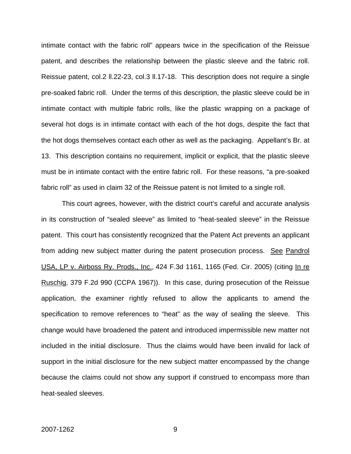intimate contact with the fabric roll" appears twice in the specification of the Reissue patent, and describes the relationship between the plastic sleeve and the fabric roll. Reissue patent, col.2 ll.22-23, col.3 ll.17-18. This description does not require a single pre-soaked fabric roll. Under the terms of this description, the plastic sleeve could be in intimate contact with multiple fabric rolls, like the plastic wrapping on a package of several hot dogs is in intimate contact with each of the hot dogs, despite the fact that the hot dogs themselves contact each other as well as the packaging. Appellant's Br. at 13. This description contains no requirement, implicit or explicit, that the plastic sleeve must be in intimate contact with the entire fabric roll. For these reasons, "a pre-soaked fabric roll" as used in claim 32 of the Reissue patent is not limited to a single roll.

 This court agrees, however, with the district court's careful and accurate analysis in its construction of "sealed sleeve" as limited to "heat-sealed sleeve" in the Reissue patent. This court has consistently recognized that the Patent Act prevents an applicant from adding new subject matter during the patent prosecution process. See Pandrol USA, LP v. Airboss Ry. Prods., Inc., 424 F.3d 1161, 1165 (Fed. Cir. 2005) (citing In re Ruschig, 379 F.2d 990 (CCPA 1967)). In this case, during prosecution of the Reissue application, the examiner rightly refused to allow the applicants to amend the specification to remove references to "heat" as the way of sealing the sleeve. This change would have broadened the patent and introduced impermissible new matter not included in the initial disclosure. Thus the claims would have been invalid for lack of support in the initial disclosure for the new subject matter encompassed by the change because the claims could not show any support if construed to encompass more than heat-sealed sleeves.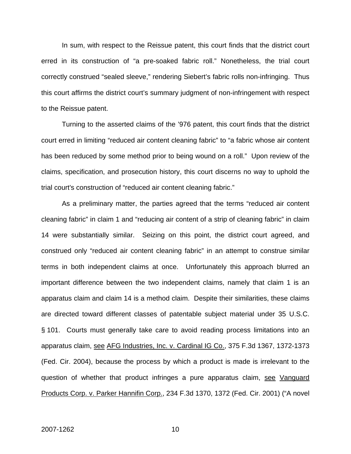In sum, with respect to the Reissue patent, this court finds that the district court erred in its construction of "a pre-soaked fabric roll." Nonetheless, the trial court correctly construed "sealed sleeve," rendering Siebert's fabric rolls non-infringing. Thus this court affirms the district court's summary judgment of non-infringement with respect to the Reissue patent.

Turning to the asserted claims of the '976 patent, this court finds that the district court erred in limiting "reduced air content cleaning fabric" to "a fabric whose air content has been reduced by some method prior to being wound on a roll." Upon review of the claims, specification, and prosecution history, this court discerns no way to uphold the trial court's construction of "reduced air content cleaning fabric."

As a preliminary matter, the parties agreed that the terms "reduced air content cleaning fabric" in claim 1 and "reducing air content of a strip of cleaning fabric" in claim 14 were substantially similar. Seizing on this point, the district court agreed, and construed only "reduced air content cleaning fabric" in an attempt to construe similar terms in both independent claims at once. Unfortunately this approach blurred an important difference between the two independent claims, namely that claim 1 is an apparatus claim and claim 14 is a method claim. Despite their similarities, these claims are directed toward different classes of patentable subject material under 35 U.S.C. § 101. Courts must generally take care to avoid reading process limitations into an apparatus claim, see AFG Industries, Inc. v. Cardinal IG Co., 375 F.3d 1367, 1372-1373 (Fed. Cir. 2004), because the process by which a product is made is irrelevant to the question of whether that product infringes a pure apparatus claim, see Vanguard Products Corp. v. Parker Hannifin Corp., 234 F.3d 1370, 1372 (Fed. Cir. 2001) ("A novel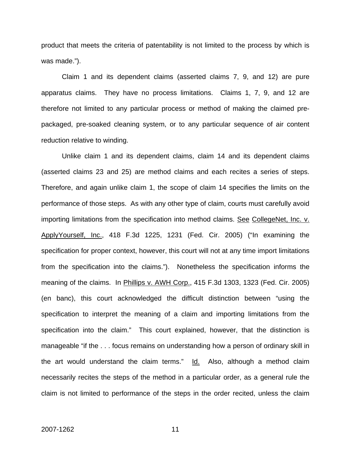product that meets the criteria of patentability is not limited to the process by which is was made.").

Claim 1 and its dependent claims (asserted claims 7, 9, and 12) are pure apparatus claims. They have no process limitations. Claims 1, 7, 9, and 12 are therefore not limited to any particular process or method of making the claimed prepackaged, pre-soaked cleaning system, or to any particular sequence of air content reduction relative to winding.

Unlike claim 1 and its dependent claims, claim 14 and its dependent claims (asserted claims 23 and 25) are method claims and each recites a series of steps. Therefore, and again unlike claim 1, the scope of claim 14 specifies the limits on the performance of those steps. As with any other type of claim, courts must carefully avoid importing limitations from the specification into method claims. See CollegeNet, Inc. v. ApplyYourself, Inc., 418 F.3d 1225, 1231 (Fed. Cir. 2005) ("In examining the specification for proper context, however, this court will not at any time import limitations from the specification into the claims."). Nonetheless the specification informs the meaning of the claims. In Phillips v. AWH Corp., 415 F.3d 1303, 1323 (Fed. Cir. 2005) (en banc), this court acknowledged the difficult distinction between "using the specification to interpret the meaning of a claim and importing limitations from the specification into the claim." This court explained, however, that the distinction is manageable "if the . . . focus remains on understanding how a person of ordinary skill in the art would understand the claim terms."  $Id.$  Also, although a method claim necessarily recites the steps of the method in a particular order, as a general rule the claim is not limited to performance of the steps in the order recited, unless the claim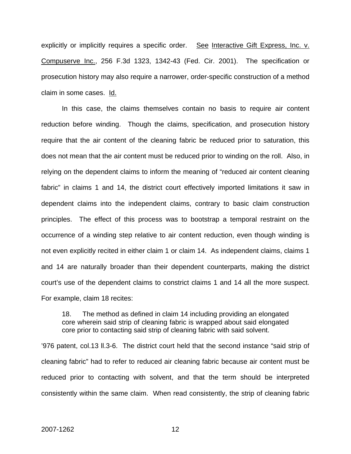explicitly or implicitly requires a specific order. See Interactive Gift Express, Inc. v. Compuserve Inc., 256 F.3d 1323, 1342-43 (Fed. Cir. 2001). The specification or prosecution history may also require a narrower, order-specific construction of a method claim in some cases. Id.

In this case, the claims themselves contain no basis to require air content reduction before winding. Though the claims, specification, and prosecution history require that the air content of the cleaning fabric be reduced prior to saturation, this does not mean that the air content must be reduced prior to winding on the roll. Also, in relying on the dependent claims to inform the meaning of "reduced air content cleaning fabric" in claims 1 and 14, the district court effectively imported limitations it saw in dependent claims into the independent claims, contrary to basic claim construction principles. The effect of this process was to bootstrap a temporal restraint on the occurrence of a winding step relative to air content reduction, even though winding is not even explicitly recited in either claim 1 or claim 14. As independent claims, claims 1 and 14 are naturally broader than their dependent counterparts, making the district court's use of the dependent claims to constrict claims 1 and 14 all the more suspect. For example, claim 18 recites:

18. The method as defined in claim 14 including providing an elongated core wherein said strip of cleaning fabric is wrapped about said elongated core prior to contacting said strip of cleaning fabric with said solvent.

'976 patent, col.13 ll.3-6. The district court held that the second instance "said strip of cleaning fabric" had to refer to reduced air cleaning fabric because air content must be reduced prior to contacting with solvent, and that the term should be interpreted consistently within the same claim. When read consistently, the strip of cleaning fabric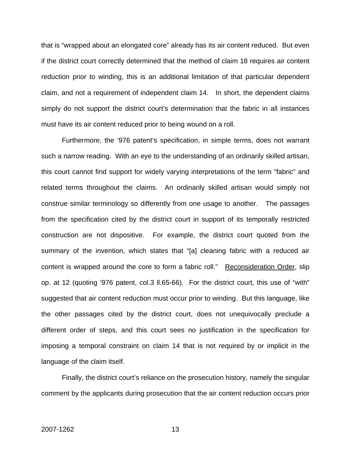that is "wrapped about an elongated core" already has its air content reduced. But even if the district court correctly determined that the method of claim 18 requires air content reduction prior to winding, this is an additional limitation of that particular dependent claim, and not a requirement of independent claim 14. In short, the dependent claims simply do not support the district court's determination that the fabric in all instances must have its air content reduced prior to being wound on a roll.

Furthermore, the '976 patent's specification, in simple terms, does not warrant such a narrow reading. With an eye to the understanding of an ordinarily skilled artisan, this court cannot find support for widely varying interpretations of the term "fabric" and related terms throughout the claims. An ordinarily skilled artisan would simply not construe similar terminology so differently from one usage to another. The passages from the specification cited by the district court in support of its temporally restricted construction are not dispositive. For example, the district court quoted from the summary of the invention, which states that "[a] cleaning fabric with a reduced air content is wrapped around the core to form a fabric roll." Reconsideration Order, slip op. at 12 (quoting '976 patent, col.3 ll.65-66). For the district court, this use of "with" suggested that air content reduction must occur prior to winding. But this language, like the other passages cited by the district court, does not unequivocally preclude a different order of steps, and this court sees no justification in the specification for imposing a temporal constraint on claim 14 that is not required by or implicit in the language of the claim itself.

Finally, the district court's reliance on the prosecution history, namely the singular comment by the applicants during prosecution that the air content reduction occurs prior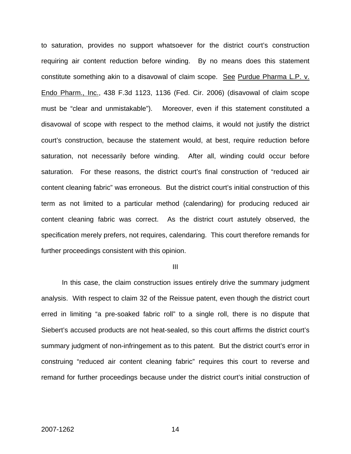to saturation, provides no support whatsoever for the district court's construction requiring air content reduction before winding. By no means does this statement constitute something akin to a disavowal of claim scope. See Purdue Pharma L.P. v. Endo Pharm., Inc., 438 F.3d 1123, 1136 (Fed. Cir. 2006) (disavowal of claim scope must be "clear and unmistakable"). Moreover, even if this statement constituted a disavowal of scope with respect to the method claims, it would not justify the district court's construction, because the statement would, at best, require reduction before saturation, not necessarily before winding. After all, winding could occur before saturation. For these reasons, the district court's final construction of "reduced air content cleaning fabric" was erroneous. But the district court's initial construction of this term as not limited to a particular method (calendaring) for producing reduced air content cleaning fabric was correct. As the district court astutely observed, the specification merely prefers, not requires, calendaring. This court therefore remands for further proceedings consistent with this opinion.

III

 In this case, the claim construction issues entirely drive the summary judgment analysis. With respect to claim 32 of the Reissue patent, even though the district court erred in limiting "a pre-soaked fabric roll" to a single roll, there is no dispute that Siebert's accused products are not heat-sealed, so this court affirms the district court's summary judgment of non-infringement as to this patent. But the district court's error in construing "reduced air content cleaning fabric" requires this court to reverse and remand for further proceedings because under the district court's initial construction of